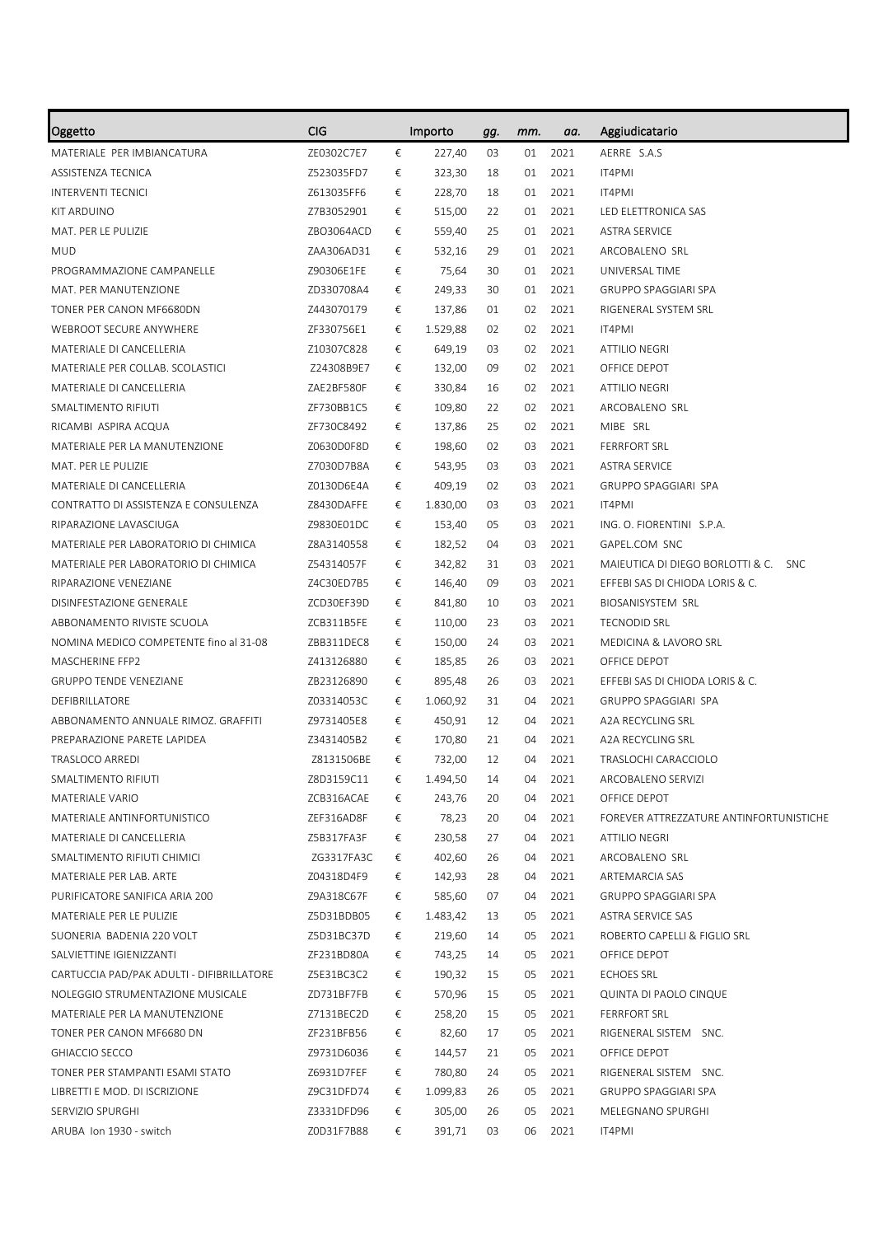| Oggetto                                   | CIG        |   | Importo  | gg. | mm. | aa.  | Aggiudicatario                          |
|-------------------------------------------|------------|---|----------|-----|-----|------|-----------------------------------------|
| MATERIALE PER IMBIANCATURA                | ZE0302C7E7 | € | 227,40   | 03  | 01  | 2021 | AERRE S.A.S                             |
| ASSISTENZA TECNICA                        | Z523035FD7 | € | 323,30   | 18  | 01  | 2021 | IT4PMI                                  |
| <b>INTERVENTI TECNICI</b>                 | Z613035FF6 | € | 228,70   | 18  | 01  | 2021 | IT4PMI                                  |
| KIT ARDUINO                               | Z7B3052901 | € | 515,00   | 22  | 01  | 2021 | LED ELETTRONICA SAS                     |
| MAT. PER LE PULIZIE                       | ZBO3064ACD | € | 559,40   | 25  | 01  | 2021 | <b>ASTRA SERVICE</b>                    |
| <b>MUD</b>                                | ZAA306AD31 | € | 532,16   | 29  | 01  | 2021 | ARCOBALENO SRL                          |
| PROGRAMMAZIONE CAMPANELLE                 | Z90306E1FE | € | 75,64    | 30  | 01  | 2021 | UNIVERSAL TIME                          |
| MAT. PER MANUTENZIONE                     | ZD330708A4 | € | 249,33   | 30  | 01  | 2021 | <b>GRUPPO SPAGGIARI SPA</b>             |
| TONER PER CANON MF6680DN                  | Z443070179 | € | 137,86   | 01  | 02  | 2021 | RIGENERAL SYSTEM SRL                    |
| WEBROOT SECURE ANYWHERE                   | ZF330756E1 | € | 1.529,88 | 02  | 02  | 2021 | IT4PMI                                  |
| MATERIALE DI CANCELLERIA                  | Z10307C828 | € | 649,19   | 03  | 02  | 2021 | ATTILIO NEGRI                           |
| MATERIALE PER COLLAB. SCOLASTICI          | Z24308B9E7 | € | 132,00   | 09  | 02  | 2021 | OFFICE DEPOT                            |
| MATERIALE DI CANCELLERIA                  | ZAE2BF580F | € | 330,84   | 16  | 02  | 2021 | <b>ATTILIO NEGRI</b>                    |
| SMALTIMENTO RIFIUTI                       | ZF730BB1C5 | € | 109,80   | 22  | 02  | 2021 | ARCOBALENO SRL                          |
| RICAMBI ASPIRA ACQUA                      | ZF730C8492 | € | 137,86   | 25  | 02  | 2021 | MIBE SRL                                |
| MATERIALE PER LA MANUTENZIONE             | Z0630D0F8D | € | 198,60   | 02  | 03  | 2021 | <b>FERRFORT SRL</b>                     |
| MAT. PER LE PULIZIE                       | Z7030D7B8A | € | 543,95   | 03  | 03  | 2021 | <b>ASTRA SERVICE</b>                    |
| MATERIALE DI CANCELLERIA                  | Z0130D6E4A | € | 409,19   | 02  | 03  | 2021 | <b>GRUPPO SPAGGIARI SPA</b>             |
| CONTRATTO DI ASSISTENZA E CONSULENZA      | Z8430DAFFE | € | 1.830,00 | 03  | 03  | 2021 | IT4PMI                                  |
| RIPARAZIONE LAVASCIUGA                    | Z9830E01DC | € | 153,40   | 05  | 03  | 2021 | ING. O. FIORENTINI S.P.A.               |
| MATERIALE PER LABORATORIO DI CHIMICA      | Z8A3140558 | € | 182,52   | 04  | 03  | 2021 | GAPEL.COM SNC                           |
| MATERIALE PER LABORATORIO DI CHIMICA      | Z54314057F | € | 342,82   | 31  | 03  | 2021 | MAIEUTICA DI DIEGO BORLOTTI & C. SNC    |
| RIPARAZIONE VENEZIANE                     | Z4C30ED7B5 | € | 146,40   | 09  | 03  | 2021 | EFFEBI SAS DI CHIODA LORIS & C.         |
| DISINFESTAZIONE GENERALE                  | ZCD30EF39D | € | 841,80   | 10  | 03  | 2021 | <b>BIOSANISYSTEM SRL</b>                |
| ABBONAMENTO RIVISTE SCUOLA                | ZCB311B5FE | € | 110,00   | 23  | 03  | 2021 | <b>TECNODID SRL</b>                     |
| NOMINA MEDICO COMPETENTE fino al 31-08    | ZBB311DEC8 | € | 150,00   | 24  | 03  | 2021 | MEDICINA & LAVORO SRL                   |
| MASCHERINE FFP2                           | Z413126880 | € | 185,85   | 26  | 03  | 2021 | OFFICE DEPOT                            |
| <b>GRUPPO TENDE VENEZIANE</b>             | ZB23126890 | € | 895,48   | 26  | 03  | 2021 | EFFEBI SAS DI CHIODA LORIS & C.         |
| DEFIBRILLATORE                            | Z03314053C | € | 1.060,92 | 31  | 04  | 2021 | <b>GRUPPO SPAGGIARI SPA</b>             |
| ABBONAMENTO ANNUALE RIMOZ. GRAFFITI       | Z9731405E8 | € | 450,91   | 12  | 04  | 2021 | A2A RECYCLING SRL                       |
| PREPARAZIONE PARETE LAPIDEA               | Z3431405B2 | € | 170,80   | 21  | 04  | 2021 | A2A RECYCLING SRL                       |
| TRASLOCO ARREDI                           | Z8131506BE | € | 732,00   | 12  | 04  | 2021 | TRASLOCHI CARACCIOLO                    |
| SMALTIMENTO RIFIUTI                       | Z8D3159C11 | € | 1.494,50 | 14  | 04  | 2021 | ARCOBALENO SERVIZI                      |
| MATERIALE VARIO                           | ZCB316ACAE | € | 243,76   | 20  | 04  | 2021 | OFFICE DEPOT                            |
| MATERIALE ANTINFORTUNISTICO               | ZEF316AD8F | € | 78,23    | 20  | 04  | 2021 | FOREVER ATTREZZATURE ANTINFORTUNISTICHE |
| MATERIALE DI CANCELLERIA                  | Z5B317FA3F | € | 230,58   | 27  | 04  | 2021 | <b>ATTILIO NEGRI</b>                    |
| SMALTIMENTO RIFIUTI CHIMICI               | ZG3317FA3C | € | 402,60   | 26  | 04  | 2021 | ARCOBALENO SRL                          |
| MATERIALE PER LAB. ARTE                   | Z04318D4F9 | € | 142,93   | 28  | 04  | 2021 | ARTEMARCIA SAS                          |
| PURIFICATORE SANIFICA ARIA 200            | Z9A318C67F | € | 585,60   | 07  | 04  | 2021 | <b>GRUPPO SPAGGIARI SPA</b>             |
| MATERIALE PER LE PULIZIE                  | Z5D31BDB05 | € | 1.483,42 | 13  | 05  | 2021 | ASTRA SERVICE SAS                       |
| SUONERIA BADENIA 220 VOLT                 | Z5D31BC37D | € | 219,60   | 14  | 05  | 2021 | ROBERTO CAPELLI & FIGLIO SRL            |
| SALVIETTINE IGIENIZZANTI                  | ZF231BD80A | € | 743,25   | 14  | 05  | 2021 | OFFICE DEPOT                            |
| CARTUCCIA PAD/PAK ADULTI - DIFIBRILLATORE | Z5E31BC3C2 | € | 190,32   | 15  | 05  | 2021 | <b>ECHOES SRL</b>                       |
| NOLEGGIO STRUMENTAZIONE MUSICALE          | ZD731BF7FB | € | 570,96   | 15  | 05  | 2021 | QUINTA DI PAOLO CINQUE                  |
| MATERIALE PER LA MANUTENZIONE             | Z7131BEC2D | € | 258,20   | 15  | 05  | 2021 | <b>FERRFORT SRL</b>                     |
| TONER PER CANON MF6680 DN                 | ZF231BFB56 | € | 82,60    | 17  | 05  | 2021 | RIGENERAL SISTEM SNC.                   |
| GHIACCIO SECCO                            | Z9731D6036 | € | 144,57   | 21  | 05  | 2021 | OFFICE DEPOT                            |
| TONER PER STAMPANTI ESAMI STATO           | Z6931D7FEF | € | 780,80   | 24  | 05  | 2021 | RIGENERAL SISTEM SNC.                   |
| LIBRETTI E MOD. DI ISCRIZIONE             | Z9C31DFD74 | € | 1.099,83 | 26  | 05  | 2021 | <b>GRUPPO SPAGGIARI SPA</b>             |
| SERVIZIO SPURGHI                          | Z3331DFD96 | € | 305,00   | 26  | 05  | 2021 | MELEGNANO SPURGHI                       |
| ARUBA Ion 1930 - switch                   | Z0D31F7B88 | € | 391,71   | 03  | 06  | 2021 | IT4PMI                                  |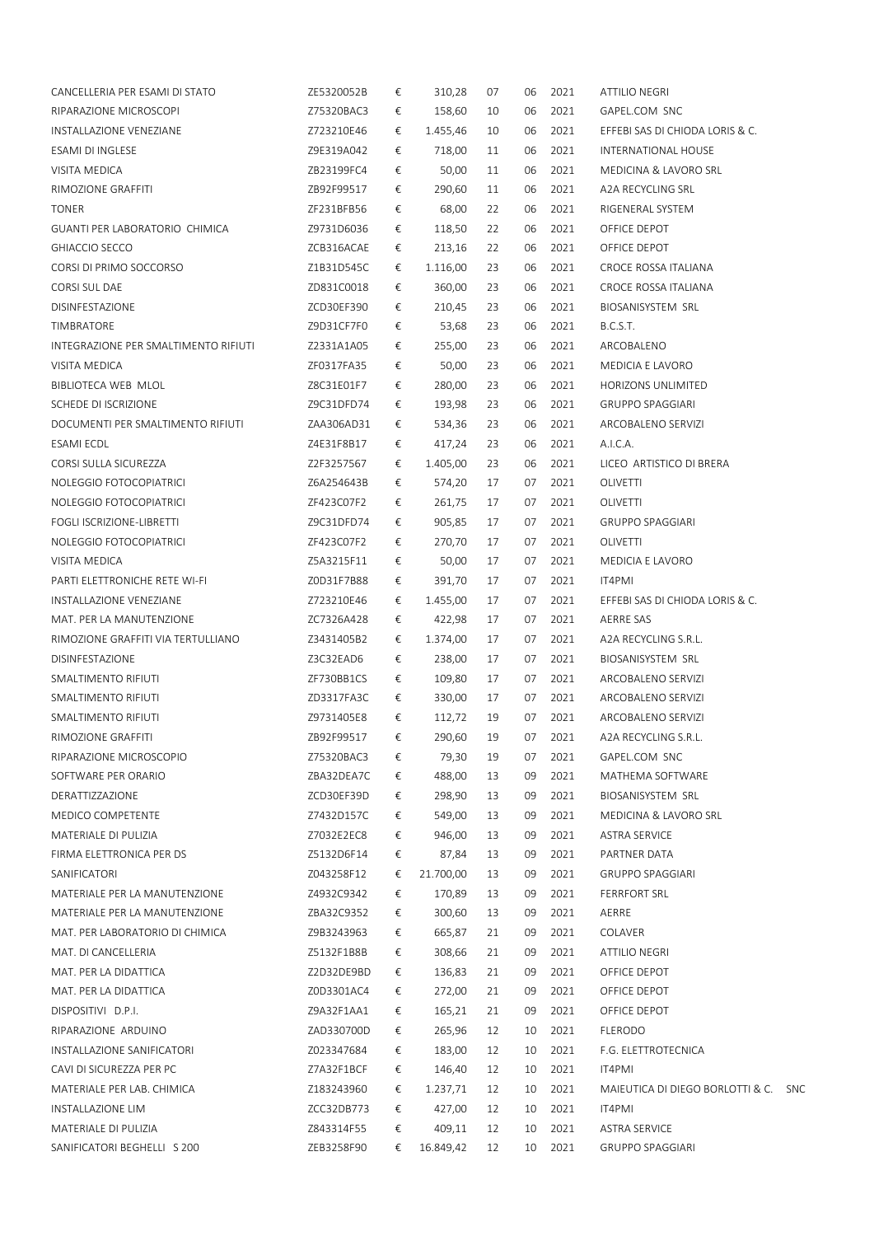| CANCELLERIA PER ESAMI DI STATO        | ZE5320052B | € | 310,28    | 07 | 06 | 2021    | <b>ATTILIO NEGRI</b>                 |  |
|---------------------------------------|------------|---|-----------|----|----|---------|--------------------------------------|--|
| RIPARAZIONE MICROSCOPI                | Z75320BAC3 | € | 158,60    | 10 | 06 | 2021    | GAPEL.COM SNC                        |  |
| INSTALLAZIONE VENEZIANE               | Z723210E46 | € | 1.455,46  | 10 | 06 | 2021    | EFFEBI SAS DI CHIODA LORIS & C.      |  |
| ESAMI DI INGLESE                      | Z9E319A042 | € | 718,00    | 11 | 06 | 2021    | INTERNATIONAL HOUSE                  |  |
| VISITA MEDICA                         | ZB23199FC4 | € | 50,00     | 11 | 06 | 2021    | MEDICINA & LAVORO SRL                |  |
| RIMOZIONE GRAFFITI                    | ZB92F99517 | € | 290,60    | 11 | 06 | 2021    | A2A RECYCLING SRL                    |  |
| <b>TONER</b>                          | ZF231BFB56 | € | 68,00     | 22 | 06 | 2021    | RIGENERAL SYSTEM                     |  |
| <b>GUANTI PER LABORATORIO CHIMICA</b> | Z9731D6036 | € | 118,50    | 22 | 06 | 2021    | OFFICE DEPOT                         |  |
| GHIACCIO SECCO                        | ZCB316ACAE | € | 213,16    | 22 | 06 | 2021    | OFFICE DEPOT                         |  |
| CORSI DI PRIMO SOCCORSO               | Z1B31D545C | € | 1.116,00  | 23 | 06 | 2021    | CROCE ROSSA ITALIANA                 |  |
| CORSI SUL DAE                         | ZD831C0018 | € | 360,00    | 23 | 06 | 2021    | CROCE ROSSA ITALIANA                 |  |
| DISINFESTAZIONE                       | ZCD30EF390 | € | 210,45    | 23 | 06 | 2021    | BIOSANISYSTEM SRL                    |  |
| TIMBRATORE                            | Z9D31CF7F0 | € | 53,68     | 23 | 06 | 2021    | B.C.S.T.                             |  |
| INTEGRAZIONE PER SMALTIMENTO RIFIUTI  | Z2331A1A05 | € | 255,00    | 23 | 06 | 2021    | ARCOBALENO                           |  |
| VISITA MEDICA                         | ZF0317FA35 | € | 50,00     | 23 | 06 | 2021    | MEDICIA E LAVORO                     |  |
| BIBLIOTECA WEB MLOL                   | Z8C31E01F7 | € | 280,00    | 23 | 06 | 2021    | HORIZONS UNLIMITED                   |  |
| SCHEDE DI ISCRIZIONE                  | Z9C31DFD74 | € | 193,98    | 23 | 06 | 2021    | <b>GRUPPO SPAGGIARI</b>              |  |
| DOCUMENTI PER SMALTIMENTO RIFIUTI     | ZAA306AD31 | € | 534,36    | 23 | 06 | 2021    | ARCOBALENO SERVIZI                   |  |
| ESAMI ECDL                            | Z4E31F8B17 | € | 417,24    | 23 | 06 | 2021    | A.I.C.A.                             |  |
| CORSI SULLA SICUREZZA                 | Z2F3257567 | € | 1.405,00  | 23 | 06 | 2021    | LICEO ARTISTICO DI BRERA             |  |
| NOLEGGIO FOTOCOPIATRICI               | Z6A254643B | € | 574,20    | 17 | 07 | 2021    | OLIVETTI                             |  |
| NOLEGGIO FOTOCOPIATRICI               | ZF423C07F2 | € | 261,75    | 17 | 07 | 2021    | OLIVETTI                             |  |
| FOGLI ISCRIZIONE-LIBRETTI             | Z9C31DFD74 | € | 905,85    | 17 | 07 | 2021    | <b>GRUPPO SPAGGIARI</b>              |  |
| NOLEGGIO FOTOCOPIATRICI               | ZF423C07F2 | € | 270,70    | 17 | 07 | 2021    | OLIVETTI                             |  |
| VISITA MEDICA                         | Z5A3215F11 | € | 50,00     | 17 | 07 | 2021    | MEDICIA E LAVORO                     |  |
| PARTI ELETTRONICHE RETE WI-FI         | Z0D31F7B88 | € | 391,70    | 17 | 07 | 2021    | IT4PMI                               |  |
| INSTALLAZIONE VENEZIANE               | Z723210E46 | € | 1.455,00  | 17 | 07 | 2021    | EFFEBI SAS DI CHIODA LORIS & C.      |  |
| MAT. PER LA MANUTENZIONE              | ZC7326A428 | € | 422,98    | 17 | 07 | 2021    | AERRE SAS                            |  |
| RIMOZIONE GRAFFITI VIA TERTULLIANO    | Z3431405B2 | € | 1.374,00  | 17 | 07 | 2021    | A2A RECYCLING S.R.L.                 |  |
| DISINFESTAZIONE                       | Z3C32EAD6  | € | 238,00    | 17 | 07 | 2021    | BIOSANISYSTEM SRL                    |  |
| SMALTIMENTO RIFIUTI                   | ZF730BB1CS |   |           |    | 07 |         |                                      |  |
|                                       |            | € | 109,80    | 17 |    | 2021    | ARCOBALENO SERVIZI                   |  |
| SMALTIMENTO RIFIUTI                   | ZD3317FA3C | € | 330,00    | 17 | 07 | 2021    | ARCOBALENO SERVIZI                   |  |
| SMALTIMENTO RIFIUTI                   | Z9731405E8 | € | 112,72    | 19 | 07 | 2021    | ARCOBALENO SERVIZI                   |  |
| RIMOZIONE GRAFFITI                    | ZB92F99517 | € | 290,60    | 19 |    | 07 2021 | A2A RECYCLING S.R.L.                 |  |
| RIPARAZIONE MICROSCOPIO               | Z75320BAC3 | € | 79,30     | 19 | 07 | 2021    | GAPEL.COM SNC                        |  |
| SOFTWARE PER ORARIO                   | ZBA32DEA7C | € | 488,00    | 13 | 09 | 2021    | MATHEMA SOFTWARE                     |  |
| DERATTIZZAZIONE                       | ZCD30EF39D | € | 298,90    | 13 | 09 | 2021    | BIOSANISYSTEM SRL                    |  |
| MEDICO COMPETENTE                     | Z7432D157C | € | 549,00    | 13 | 09 | 2021    | MEDICINA & LAVORO SRL                |  |
| MATERIALE DI PULIZIA                  | Z7032E2EC8 | € | 946,00    | 13 | 09 | 2021    | <b>ASTRA SERVICE</b>                 |  |
| FIRMA ELETTRONICA PER DS              | Z5132D6F14 | € | 87,84     | 13 | 09 | 2021    | PARTNER DATA                         |  |
| SANIFICATORI                          | Z043258F12 | € | 21.700,00 | 13 | 09 | 2021    | <b>GRUPPO SPAGGIARI</b>              |  |
| MATERIALE PER LA MANUTENZIONE         | Z4932C9342 | € | 170,89    | 13 | 09 | 2021    | FERRFORT SRL                         |  |
| MATERIALE PER LA MANUTENZIONE         | ZBA32C9352 | € | 300,60    | 13 | 09 | 2021    | AERRE                                |  |
| MAT. PER LABORATORIO DI CHIMICA       | Z9B3243963 | € | 665,87    | 21 | 09 | 2021    | COLAVER                              |  |
| MAT. DI CANCELLERIA                   | Z5132F1B8B | € | 308,66    | 21 | 09 | 2021    | ATTILIO NEGRI                        |  |
| MAT. PER LA DIDATTICA                 | Z2D32DE9BD | € | 136,83    | 21 | 09 | 2021    | OFFICE DEPOT                         |  |
| MAT. PER LA DIDATTICA                 | Z0D3301AC4 | € | 272,00    | 21 | 09 | 2021    | OFFICE DEPOT                         |  |
| DISPOSITIVI D.P.I.                    | Z9A32F1AA1 | € | 165,21    | 21 | 09 | 2021    | OFFICE DEPOT                         |  |
| RIPARAZIONE ARDUINO                   | ZAD330700D | € | 265,96    | 12 | 10 | 2021    | <b>FLERODO</b>                       |  |
| INSTALLAZIONE SANIFICATORI            | Z023347684 | € | 183,00    | 12 | 10 | 2021    | F.G. ELETTROTECNICA                  |  |
| CAVI DI SICUREZZA PER PC              | Z7A32F1BCF | € | 146,40    | 12 | 10 | 2021    | IT4PMI                               |  |
| MATERIALE PER LAB. CHIMICA            | Z183243960 | € | 1.237,71  | 12 | 10 | 2021    | MAIEUTICA DI DIEGO BORLOTTI & C. SNO |  |
| INSTALLAZIONE LIM                     | ZCC32DB773 | € | 427,00    | 12 | 10 | 2021    | IT4PMI                               |  |
| MATERIALE DI PULIZIA                  | Z843314F55 | € | 409,11    | 12 | 10 | 2021    | <b>ASTRA SERVICE</b>                 |  |
| SANIFICATORI BEGHELLI S 200           | ZEB3258F90 | € | 16.849,42 | 12 | 10 | 2021    | <b>GRUPPO SPAGGIARI</b>              |  |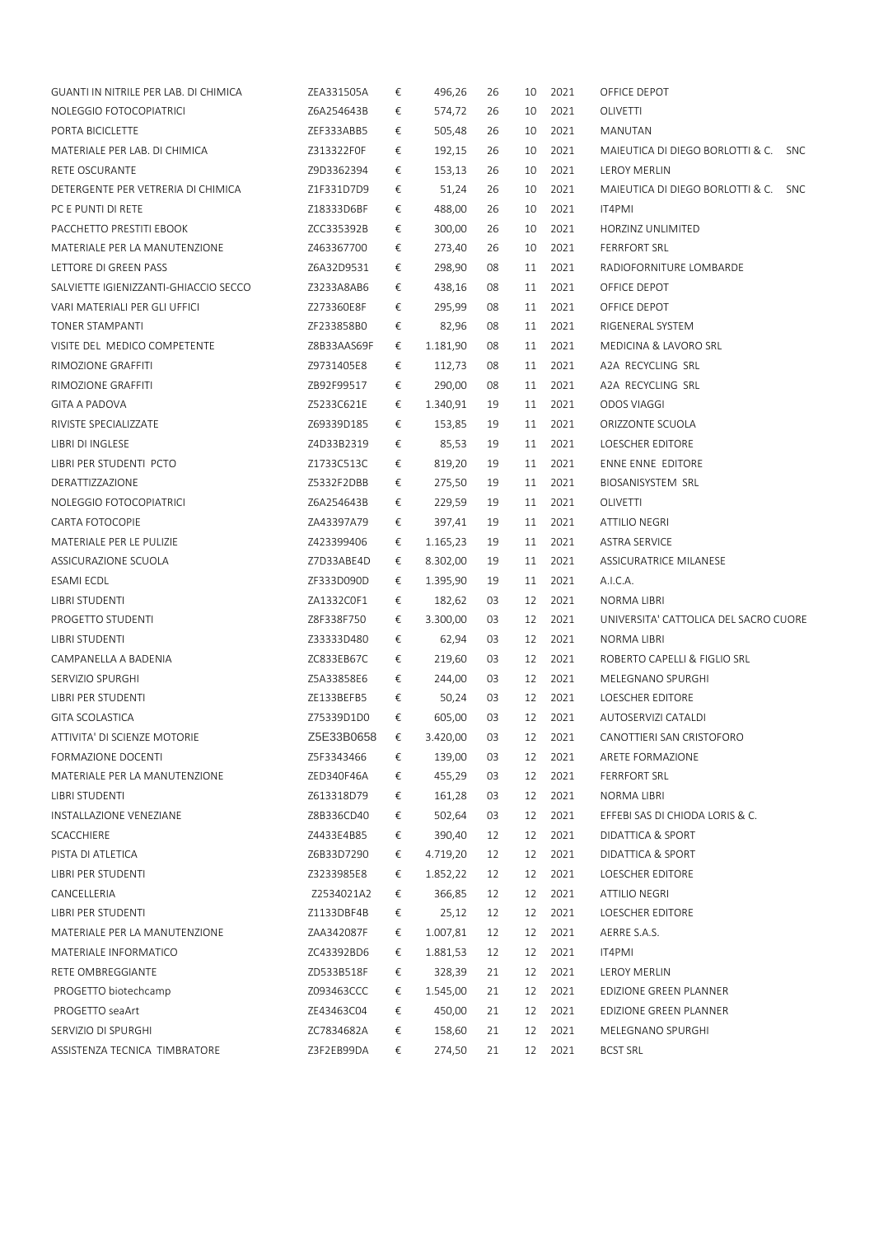| GUANTI IN NITRILE PER LAB. DI CHIMICA | ZEA331505A  | € | 496,26   | 26 | 10 | 2021 | OFFICE DEPOT                                   |
|---------------------------------------|-------------|---|----------|----|----|------|------------------------------------------------|
| NOLEGGIO FOTOCOPIATRICI               | Z6A254643B  | € | 574,72   | 26 | 10 | 2021 | OLIVETTI                                       |
| PORTA BICICLETTE                      | ZEF333ABB5  | € | 505,48   | 26 | 10 | 2021 | MANUTAN                                        |
| MATERIALE PER LAB. DI CHIMICA         | Z313322F0F  | € | 192,15   | 26 | 10 | 2021 | MAIEUTICA DI DIEGO BORLOTTI & C.<br><b>SNC</b> |
| RETE OSCURANTE                        | Z9D3362394  | € | 153,13   | 26 | 10 | 2021 | <b>LEROY MERLIN</b>                            |
| DETERGENTE PER VETRERIA DI CHIMICA    | Z1F331D7D9  | € | 51,24    | 26 | 10 | 2021 | MAIEUTICA DI DIEGO BORLOTTI & C.<br><b>SNC</b> |
| PC E PUNTI DI RETE                    | Z18333D6BF  | € | 488,00   | 26 | 10 | 2021 | IT4PMI                                         |
| PACCHETTO PRESTITI EBOOK              | ZCC335392B  | € | 300,00   | 26 | 10 | 2021 | HORZINZ UNLIMITED                              |
| MATERIALE PER LA MANUTENZIONE         | Z463367700  | € | 273,40   | 26 | 10 | 2021 | <b>FERRFORT SRL</b>                            |
| LETTORE DI GREEN PASS                 | Z6A32D9531  | € | 298,90   | 08 | 11 | 2021 | RADIOFORNITURE LOMBARDE                        |
| SALVIETTE IGIENIZZANTI-GHIACCIO SECCO | Z3233A8AB6  | € | 438,16   | 08 | 11 | 2021 | OFFICE DEPOT                                   |
| VARI MATERIALI PER GLI UFFICI         | Z273360E8F  | € | 295,99   | 08 | 11 | 2021 | OFFICE DEPOT                                   |
| TONER STAMPANTI                       | ZF233858B0  | € | 82,96    | 08 | 11 | 2021 | RIGENERAL SYSTEM                               |
| VISITE DEL MEDICO COMPETENTE          | Z8B33AAS69F | € | 1.181,90 | 08 | 11 | 2021 | MEDICINA & LAVORO SRL                          |
| RIMOZIONE GRAFFITI                    | Z9731405E8  | € | 112,73   | 08 | 11 | 2021 | A2A RECYCLING SRL                              |
| RIMOZIONE GRAFFITI                    | ZB92F99517  | € | 290,00   | 08 | 11 | 2021 | A2A RECYCLING SRL                              |
| GITA A PADOVA                         | Z5233C621E  | € | 1.340,91 | 19 | 11 | 2021 | ODOS VIAGGI                                    |
| RIVISTE SPECIALIZZATE                 | Z69339D185  | € | 153,85   | 19 | 11 | 2021 | ORIZZONTE SCUOLA                               |
| LIBRI DI INGLESE                      | Z4D33B2319  | € | 85,53    | 19 | 11 | 2021 | LOESCHER EDITORE                               |
| LIBRI PER STUDENTI PCTO               | Z1733C513C  | € | 819,20   | 19 | 11 | 2021 | ENNE ENNE EDITORE                              |
| DERATTIZZAZIONE                       | Z5332F2DBB  | € | 275,50   | 19 | 11 | 2021 | BIOSANISYSTEM SRL                              |
| NOLEGGIO FOTOCOPIATRICI               | Z6A254643B  | € | 229,59   | 19 | 11 | 2021 | OLIVETTI                                       |
| CARTA FOTOCOPIE                       | ZA43397A79  | € | 397,41   | 19 | 11 | 2021 | ATTILIO NEGRI                                  |
| MATERIALE PER LE PULIZIE              | Z423399406  | € | 1.165,23 | 19 | 11 | 2021 | <b>ASTRA SERVICE</b>                           |
| ASSICURAZIONE SCUOLA                  | Z7D33ABE4D  | € | 8.302,00 | 19 | 11 | 2021 | ASSICURATRICE MILANESE                         |
| ESAMI ECDL                            | ZF333D090D  | € | 1.395,90 | 19 | 11 | 2021 | A.I.C.A.                                       |
| LIBRI STUDENTI                        | ZA1332COF1  | € | 182,62   | 03 | 12 | 2021 | NORMA LIBRI                                    |
| PROGETTO STUDENTI                     | Z8F338F750  | € | 3.300,00 | 03 | 12 | 2021 | UNIVERSITA' CATTOLICA DEL SACRO CUORE          |
| LIBRI STUDENTI                        | Z33333D480  | € | 62,94    | 03 | 12 | 2021 | NORMA LIBRI                                    |
| CAMPANELLA A BADENIA                  | ZC833EB67C  | € | 219,60   | 03 | 12 | 2021 | ROBERTO CAPELLI & FIGLIO SRL                   |
| SERVIZIO SPURGHI                      | Z5A33858E6  | € | 244,00   | 03 | 12 | 2021 | MELEGNANO SPURGHI                              |
| LIBRI PER STUDENTI                    | ZE133BEFB5  | € | 50,24    | 03 | 12 | 2021 | LOESCHER EDITORE                               |
| <b>GITA SCOLASTICA</b>                | Z75339D1D0  | € | 605,00   | 03 | 12 | 2021 | AUTOSERVIZI CATALDI                            |
| ATTIVITA' DI SCIENZE MOTORIE          | Z5E33B0658  | € | 3.420,00 | 03 | 12 | 2021 | CANOTTIERI SAN CRISTOFORO                      |
| FORMAZIONE DOCENTI                    | Z5F3343466  | € | 139,00   | 03 | 12 | 2021 | ARETE FORMAZIONE                               |
| MATERIALE PER LA MANUTENZIONE         | ZED340F46A  | € | 455,29   | 03 | 12 | 2021 | <b>FERRFORT SRL</b>                            |
| LIBRI STUDENTI                        | Z613318D79  | € | 161,28   | 03 | 12 | 2021 | NORMA LIBRI                                    |
| INSTALLAZIONE VENEZIANE               | Z8B336CD40  | € | 502,64   | 03 | 12 | 2021 | EFFEBI SAS DI CHIODA LORIS & C.                |
| SCACCHIERE                            | Z4433E4B85  | € | 390,40   | 12 | 12 | 2021 | DIDATTICA & SPORT                              |
| PISTA DI ATLETICA                     | Z6B33D7290  | € | 4.719,20 | 12 | 12 | 2021 | DIDATTICA & SPORT                              |
| LIBRI PER STUDENTI                    | Z3233985E8  | € | 1.852,22 | 12 | 12 | 2021 | LOESCHER EDITORE                               |
| CANCELLERIA                           | Z2534021A2  | € | 366,85   | 12 | 12 | 2021 | ATTILIO NEGRI                                  |
| LIBRI PER STUDENTI                    | Z1133DBF4B  | € | 25,12    | 12 | 12 | 2021 | LOESCHER EDITORE                               |
| MATERIALE PER LA MANUTENZIONE         | ZAA342087F  | € | 1.007,81 | 12 | 12 | 2021 | AERRE S.A.S.                                   |
| MATERIALE INFORMATICO                 | ZC43392BD6  | € | 1.881,53 | 12 | 12 | 2021 | IT4PMI                                         |
| RETE OMBREGGIANTE                     | ZD533B518F  | € | 328,39   | 21 | 12 | 2021 | LEROY MERLIN                                   |
| PROGETTO biotechcamp                  | Z093463CCC  | € | 1.545,00 | 21 | 12 | 2021 | EDIZIONE GREEN PLANNER                         |
| PROGETTO seaArt                       | ZE43463C04  | € | 450,00   | 21 | 12 | 2021 | EDIZIONE GREEN PLANNER                         |
| SERVIZIO DI SPURGHI                   | ZC7834682A  | € | 158,60   | 21 | 12 | 2021 | MELEGNANO SPURGHI                              |
| ASSISTENZA TECNICA TIMBRATORE         | Z3F2EB99DA  | € | 274,50   | 21 | 12 | 2021 | <b>BCST SRL</b>                                |